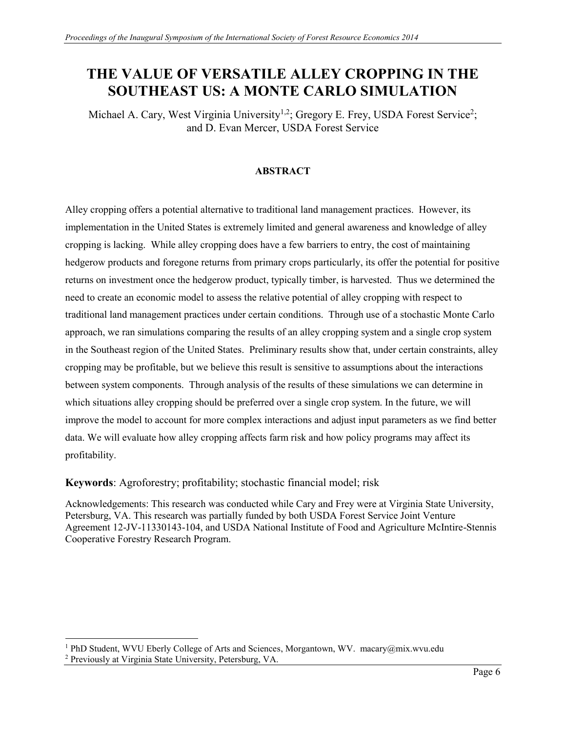# **THE VALUE OF VERSATILE ALLEY CROPPING IN THE SOUTHEAST US: A MONTE CARLO SIMULATION**

Michael A. Cary, West Virginia University<sup>1,2</sup>; Gregory E. Frey, USDA Forest Service<sup>2</sup>; and D. Evan Mercer, USDA Forest Service

#### **ABSTRACT**

Alley cropping offers a potential alternative to traditional land management practices. However, its implementation in the United States is extremely limited and general awareness and knowledge of alley cropping is lacking. While alley cropping does have a few barriers to entry, the cost of maintaining hedgerow products and foregone returns from primary crops particularly, its offer the potential for positive returns on investment once the hedgerow product, typically timber, is harvested. Thus we determined the need to create an economic model to assess the relative potential of alley cropping with respect to traditional land management practices under certain conditions. Through use of a stochastic Monte Carlo approach, we ran simulations comparing the results of an alley cropping system and a single crop system in the Southeast region of the United States. Preliminary results show that, under certain constraints, alley cropping may be profitable, but we believe this result is sensitive to assumptions about the interactions between system components. Through analysis of the results of these simulations we can determine in which situations alley cropping should be preferred over a single crop system. In the future, we will improve the model to account for more complex interactions and adjust input parameters as we find better data. We will evaluate how alley cropping affects farm risk and how policy programs may affect its profitability.

**Keywords**: Agroforestry; profitability; stochastic financial model; risk

Acknowledgements: This research was conducted while Cary and Frey were at Virginia State University, Petersburg, VA. This research was partially funded by both USDA Forest Service Joint Venture Agreement 12-JV-11330143-104, and USDA National Institute of Food and Agriculture McIntire-Stennis Cooperative Forestry Research Program.

 $\overline{\phantom{a}}$ <sup>1</sup> PhD Student, WVU Eberly College of Arts and Sciences, Morgantown, WV. macary@mix.wvu.edu

<sup>2</sup> Previously at Virginia State University, Petersburg, VA.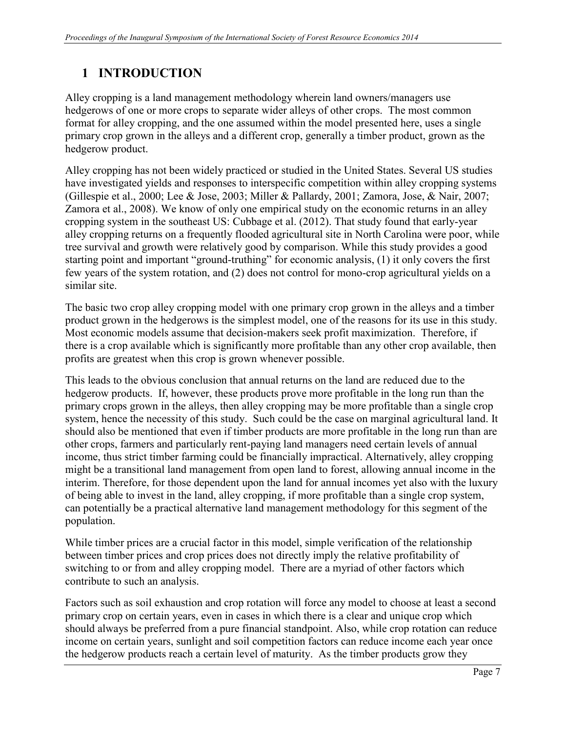# **1 INTRODUCTION**

Alley cropping is a land management methodology wherein land owners/managers use hedgerows of one or more crops to separate wider alleys of other crops. The most common format for alley cropping, and the one assumed within the model presented here, uses a single primary crop grown in the alleys and a different crop, generally a timber product, grown as the hedgerow product.

Alley cropping has not been widely practiced or studied in the United States. Several US studies have investigated yields and responses to interspecific competition within alley cropping systems (Gillespie et al., 2000; Lee & Jose, 2003; Miller & Pallardy, 2001; Zamora, Jose, & Nair, 2007; Zamora et al., 2008). We know of only one empirical study on the economic returns in an alley cropping system in the southeast US: Cubbage et al. (2012). That study found that early-year alley cropping returns on a frequently flooded agricultural site in North Carolina were poor, while tree survival and growth were relatively good by comparison. While this study provides a good starting point and important "ground-truthing" for economic analysis, (1) it only covers the first few years of the system rotation, and (2) does not control for mono-crop agricultural yields on a similar site.

The basic two crop alley cropping model with one primary crop grown in the alleys and a timber product grown in the hedgerows is the simplest model, one of the reasons for its use in this study. Most economic models assume that decision-makers seek profit maximization. Therefore, if there is a crop available which is significantly more profitable than any other crop available, then profits are greatest when this crop is grown whenever possible.

This leads to the obvious conclusion that annual returns on the land are reduced due to the hedgerow products. If, however, these products prove more profitable in the long run than the primary crops grown in the alleys, then alley cropping may be more profitable than a single crop system, hence the necessity of this study. Such could be the case on marginal agricultural land. It should also be mentioned that even if timber products are more profitable in the long run than are other crops, farmers and particularly rent-paying land managers need certain levels of annual income, thus strict timber farming could be financially impractical. Alternatively, alley cropping might be a transitional land management from open land to forest, allowing annual income in the interim. Therefore, for those dependent upon the land for annual incomes yet also with the luxury of being able to invest in the land, alley cropping, if more profitable than a single crop system, can potentially be a practical alternative land management methodology for this segment of the population.

While timber prices are a crucial factor in this model, simple verification of the relationship between timber prices and crop prices does not directly imply the relative profitability of switching to or from and alley cropping model. There are a myriad of other factors which contribute to such an analysis.

Factors such as soil exhaustion and crop rotation will force any model to choose at least a second primary crop on certain years, even in cases in which there is a clear and unique crop which should always be preferred from a pure financial standpoint. Also, while crop rotation can reduce income on certain years, sunlight and soil competition factors can reduce income each year once the hedgerow products reach a certain level of maturity. As the timber products grow they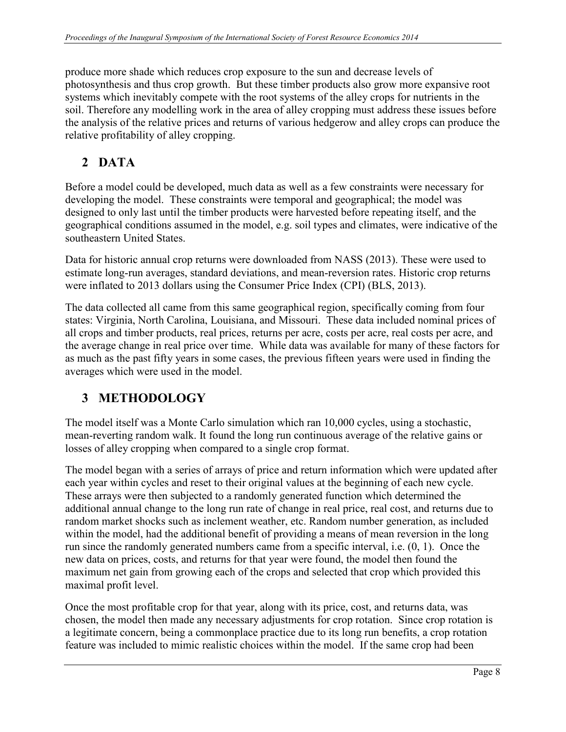produce more shade which reduces crop exposure to the sun and decrease levels of photosynthesis and thus crop growth. But these timber products also grow more expansive root systems which inevitably compete with the root systems of the alley crops for nutrients in the soil. Therefore any modelling work in the area of alley cropping must address these issues before the analysis of the relative prices and returns of various hedgerow and alley crops can produce the relative profitability of alley cropping.

## **2 DATA**

Before a model could be developed, much data as well as a few constraints were necessary for developing the model. These constraints were temporal and geographical; the model was designed to only last until the timber products were harvested before repeating itself, and the geographical conditions assumed in the model, e.g. soil types and climates, were indicative of the southeastern United States.

Data for historic annual crop returns were downloaded from NASS (2013). These were used to estimate long-run averages, standard deviations, and mean-reversion rates. Historic crop returns were inflated to 2013 dollars using the Consumer Price Index (CPI) (BLS, 2013).

The data collected all came from this same geographical region, specifically coming from four states: Virginia, North Carolina, Louisiana, and Missouri. These data included nominal prices of all crops and timber products, real prices, returns per acre, costs per acre, real costs per acre, and the average change in real price over time. While data was available for many of these factors for as much as the past fifty years in some cases, the previous fifteen years were used in finding the averages which were used in the model.

# **3 METHODOLOGY**

The model itself was a Monte Carlo simulation which ran 10,000 cycles, using a stochastic, mean-reverting random walk. It found the long run continuous average of the relative gains or losses of alley cropping when compared to a single crop format.

The model began with a series of arrays of price and return information which were updated after each year within cycles and reset to their original values at the beginning of each new cycle. These arrays were then subjected to a randomly generated function which determined the additional annual change to the long run rate of change in real price, real cost, and returns due to random market shocks such as inclement weather, etc. Random number generation, as included within the model, had the additional benefit of providing a means of mean reversion in the long run since the randomly generated numbers came from a specific interval, i.e. (0, 1). Once the new data on prices, costs, and returns for that year were found, the model then found the maximum net gain from growing each of the crops and selected that crop which provided this maximal profit level.

Once the most profitable crop for that year, along with its price, cost, and returns data, was chosen, the model then made any necessary adjustments for crop rotation. Since crop rotation is a legitimate concern, being a commonplace practice due to its long run benefits, a crop rotation feature was included to mimic realistic choices within the model. If the same crop had been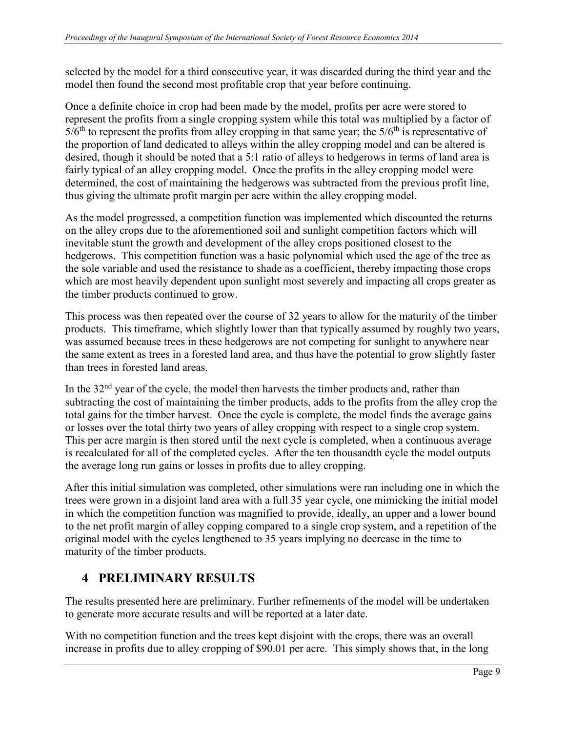selected by the model for a third consecutive year, it was discarded during the third year and the model then found the second most profitable crop that year before continuing.

Once a definite choice in crop had been made by the model, profits per acre were stored to represent the profits from a single cropping system while this total was multiplied by a factor of  $5/6<sup>th</sup>$  to represent the profits from alley cropping in that same year; the  $5/6<sup>th</sup>$  is representative of the proportion of land dedicated to alleys within the alley cropping model and can be altered is desired, though it should be noted that a 5:1 ratio of alleys to hedgerows in terms of land area is fairly typical of an alley cropping model. Once the profits in the alley cropping model were determined, the cost of maintaining the hedgerows was subtracted from the previous profit line, thus giving the ultimate profit margin per acre within the alley cropping model.

As the model progressed, a competition function was implemented which discounted the returns on the alley crops due to the aforementioned soil and sunlight competition factors which will inevitable stunt the growth and development of the alley crops positioned closest to the hedgerows. This competition function was a basic polynomial which used the age of the tree as the sole variable and used the resistance to shade as a coefficient, thereby impacting those crops which are most heavily dependent upon sunlight most severely and impacting all crops greater as the timber products continued to grow.

This process was then repeated over the course of 32 years to allow for the maturity of the timber products. This timeframe, which slightly lower than that typically assumed by roughly two years, was assumed because trees in these hedgerows are not competing for sunlight to anywhere near the same extent as trees in a forested land area, and thus have the potential to grow slightly faster than trees in forested land areas.

In the  $32<sup>nd</sup>$  year of the cycle, the model then harvests the timber products and, rather than subtracting the cost of maintaining the timber products, adds to the profits from the alley crop the total gains for the timber harvest. Once the cycle is complete, the model finds the average gains or losses over the total thirty two years of alley cropping with respect to a single crop system. This per acre margin is then stored until the next cycle is completed, when a continuous average is recalculated for all of the completed cycles. After the ten thousandth cycle the model outputs the average long run gains or losses in profits due to alley cropping.

After this initial simulation was completed, other simulations were ran including one in which the trees were grown in a disjoint land area with a full 35 year cycle, one mimicking the initial model in which the competition function was magnified to provide, ideally, an upper and a lower bound to the net profit margin of alley copping compared to a single crop system, and a repetition of the original model with the cycles lengthened to 35 years implying no decrease in the time to maturity of the timber products.

## **4 PRELIMINARY RESULTS**

The results presented here are preliminary. Further refinements of the model will be undertaken to generate more accurate results and will be reported at a later date.

With no competition function and the trees kept disjoint with the crops, there was an overall increase in profits due to alley cropping of \$90.01 per acre. This simply shows that, in the long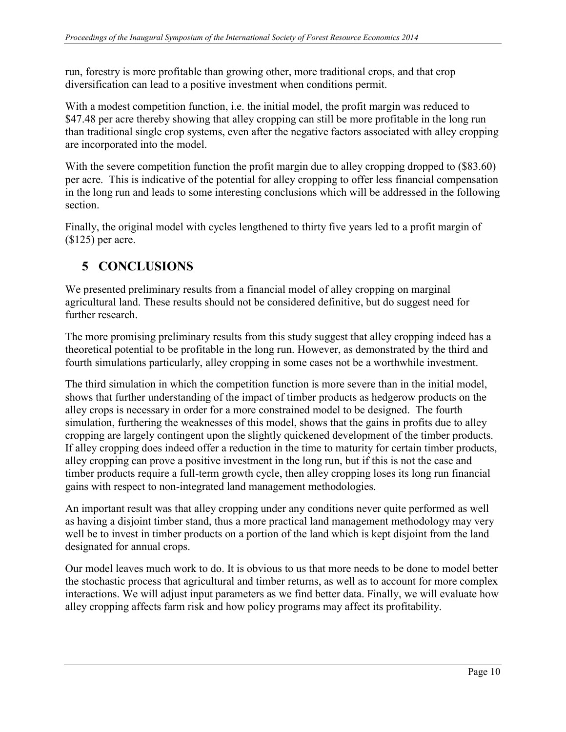run, forestry is more profitable than growing other, more traditional crops, and that crop diversification can lead to a positive investment when conditions permit.

With a modest competition function, i.e. the initial model, the profit margin was reduced to \$47.48 per acre thereby showing that alley cropping can still be more profitable in the long run than traditional single crop systems, even after the negative factors associated with alley cropping are incorporated into the model.

With the severe competition function the profit margin due to alley cropping dropped to  $(\$83.60)$ per acre. This is indicative of the potential for alley cropping to offer less financial compensation in the long run and leads to some interesting conclusions which will be addressed in the following section.

Finally, the original model with cycles lengthened to thirty five years led to a profit margin of (\$125) per acre.

#### **5 CONCLUSIONS**

We presented preliminary results from a financial model of alley cropping on marginal agricultural land. These results should not be considered definitive, but do suggest need for further research.

The more promising preliminary results from this study suggest that alley cropping indeed has a theoretical potential to be profitable in the long run. However, as demonstrated by the third and fourth simulations particularly, alley cropping in some cases not be a worthwhile investment.

The third simulation in which the competition function is more severe than in the initial model, shows that further understanding of the impact of timber products as hedgerow products on the alley crops is necessary in order for a more constrained model to be designed. The fourth simulation, furthering the weaknesses of this model, shows that the gains in profits due to alley cropping are largely contingent upon the slightly quickened development of the timber products. If alley cropping does indeed offer a reduction in the time to maturity for certain timber products, alley cropping can prove a positive investment in the long run, but if this is not the case and timber products require a full-term growth cycle, then alley cropping loses its long run financial gains with respect to non-integrated land management methodologies.

An important result was that alley cropping under any conditions never quite performed as well as having a disjoint timber stand, thus a more practical land management methodology may very well be to invest in timber products on a portion of the land which is kept disjoint from the land designated for annual crops.

Our model leaves much work to do. It is obvious to us that more needs to be done to model better the stochastic process that agricultural and timber returns, as well as to account for more complex interactions. We will adjust input parameters as we find better data. Finally, we will evaluate how alley cropping affects farm risk and how policy programs may affect its profitability.